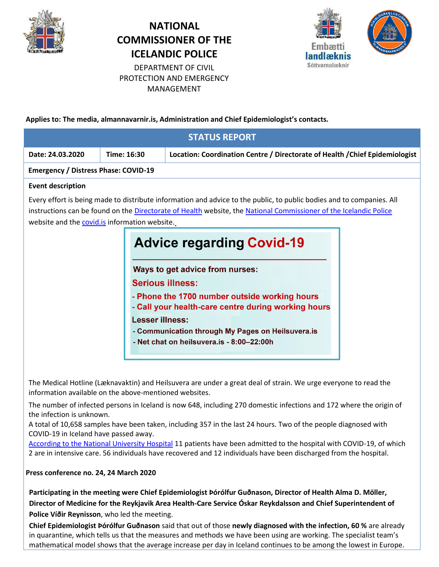

# **NATIONAL COMMISSIONER OF THE ICELANDIC POLICE**



DEPARTMENT OF CIVIL PROTECTION AND EMERGENCY MANAGEMENT

**Applies to: The media, almannavarnir.is, Administration and Chief Epidemiologist's contacts.**

| <b>STATUS REPORT</b>                                                                                                                                                                                                                                                                                                                                                                                                                                                                                                                                                                                                                     |             |                                                                              |
|------------------------------------------------------------------------------------------------------------------------------------------------------------------------------------------------------------------------------------------------------------------------------------------------------------------------------------------------------------------------------------------------------------------------------------------------------------------------------------------------------------------------------------------------------------------------------------------------------------------------------------------|-------------|------------------------------------------------------------------------------|
| Date: 24.03.2020                                                                                                                                                                                                                                                                                                                                                                                                                                                                                                                                                                                                                         | Time: 16:30 | Location: Coordination Centre / Directorate of Health / Chief Epidemiologist |
| <b>Emergency / Distress Phase: COVID-19</b>                                                                                                                                                                                                                                                                                                                                                                                                                                                                                                                                                                                              |             |                                                                              |
| <b>Event description</b>                                                                                                                                                                                                                                                                                                                                                                                                                                                                                                                                                                                                                 |             |                                                                              |
| Every effort is being made to distribute information and advice to the public, to public bodies and to companies. All<br>instructions can be found on the Directorate of Health website, the National Commissioner of the Icelandic Police<br>website and the <b>covid.is</b> information website.<br><b>Advice regarding Covid-19</b><br>Ways to get advice from nurses:<br><b>Serious illness:</b><br>- Phone the 1700 number outside working hours<br>- Call your health-care centre during working hours<br><b>Lesser illness:</b><br>- Communication through My Pages on Heilsuvera.is<br>- Net chat on heilsuvera.is - 8:00-22:00h |             |                                                                              |

The Medical Hotline (Læknavaktin) and Heilsuvera are under a great deal of strain. We urge everyone to read the information available on the above-mentioned websites.

The number of infected persons in Iceland is now 648, including 270 domestic infections and 172 where the origin of the infection is unknown.

A total of 10,658 samples have been taken, including 357 in the last 24 hours. Two of the people diagnosed with COVID-19 in Iceland have passed away.

[According to the National University Hospital](https://www.landspitali.is/default.aspx?pageid=b629a8e0-b262-49e0-b842-0f776cb4241e) 11 patients have been admitted to the hospital with COVID-19, of which 2 are in intensive care. 56 individuals have recovered and 12 individuals have been discharged from the hospital.

## **Press conference no. 24, 24 March 2020**

**Participating in the meeting were Chief Epidemiologist Þórólfur Guðnason, Director of Health Alma D. Möller, Director of Medicine for the Reykjavik Area Health-Care Service Óskar Reykdalsson and Chief Superintendent of Police Víðir Reynisson**, who led the meeting.

**Chief Epidemiologist Þórólfur Guðnason** said that out of those **newly diagnosed with the infection, 60 %** are already in quarantine, which tells us that the measures and methods we have been using are working. The specialist team's mathematical model shows that the average increase per day in Iceland continues to be among the lowest in Europe.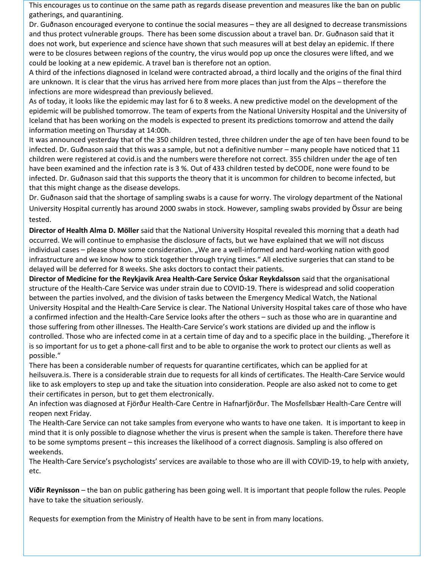This encourages us to continue on the same path as regards disease prevention and measures like the ban on public gatherings, and quarantining.

Dr. Guðnason encouraged everyone to continue the social measures – they are all designed to decrease transmissions and thus protect vulnerable groups. There has been some discussion about a travel ban. Dr. Guðnason said that it does not work, but experience and science have shown that such measures will at best delay an epidemic. If there were to be closures between regions of the country, the virus would pop up once the closures were lifted, and we could be looking at a new epidemic. A travel ban is therefore not an option.

A third of the infections diagnosed in Iceland were contracted abroad, a third locally and the origins of the final third are unknown. It is clear that the virus has arrived here from more places than just from the Alps – therefore the infections are more widespread than previously believed.

As of today, it looks like the epidemic may last for 6 to 8 weeks. A new predictive model on the development of the epidemic will be published tomorrow. The team of experts from the National University Hospital and the University of Iceland that has been working on the models is expected to present its predictions tomorrow and attend the daily information meeting on Thursday at 14:00h.

It was announced yesterday that of the 350 children tested, three children under the age of ten have been found to be infected. Dr. Guðnason said that this was a sample, but not a definitive number – many people have noticed that 11 children were registered at covid.is and the numbers were therefore not correct. 355 children under the age of ten have been examined and the infection rate is 3 %. Out of 433 children tested by deCODE, none were found to be infected. Dr. Guðnason said that this supports the theory that it is uncommon for children to become infected, but that this might change as the disease develops.

Dr. Guðnason said that the shortage of sampling swabs is a cause for worry. The virology department of the National University Hospital currently has around 2000 swabs in stock. However, sampling swabs provided by Össur are being tested.

**Director of Health Alma D. Möller** said that the National University Hospital revealed this morning that a death had occurred. We will continue to emphasise the disclosure of facts, but we have explained that we will not discuss individual cases – please show some consideration. "We are a well-informed and hard-working nation with good infrastructure and we know how to stick together through trying times." All elective surgeries that can stand to be delayed will be deferred for 8 weeks. She asks doctors to contact their patients.

**Director of Medicine for the Reykjavik Area Health-Care Service Óskar Reykdalsson** said that the organisational structure of the Health-Care Service was under strain due to COVID-19. There is widespread and solid cooperation between the parties involved, and the division of tasks between the Emergency Medical Watch, the National University Hospital and the Health-Care Service is clear. The National University Hospital takes care of those who have a confirmed infection and the Health-Care Service looks after the others – such as those who are in quarantine and those suffering from other illnesses. The Health-Care Service's work stations are divided up and the inflow is controlled. Those who are infected come in at a certain time of day and to a specific place in the building. "Therefore it is so important for us to get a phone-call first and to be able to organise the work to protect our clients as well as possible."

There has been a considerable number of requests for quarantine certificates, which can be applied for at heilsuvera.is. There is a considerable strain due to requests for all kinds of certificates. The Health-Care Service would like to ask employers to step up and take the situation into consideration. People are also asked not to come to get their certificates in person, but to get them electronically.

An infection was diagnosed at Fjörður Health-Care Centre in Hafnarfjörður. The Mosfellsbær Health-Care Centre will reopen next Friday.

The Health-Care Service can not take samples from everyone who wants to have one taken. It is important to keep in mind that it is only possible to diagnose whether the virus is present when the sample is taken. Therefore there have to be some symptoms present – this increases the likelihood of a correct diagnosis. Sampling is also offered on weekends.

The Health-Care Service's psychologists' services are available to those who are ill with COVID-19, to help with anxiety, etc.

**Víðir Reynisson** – the ban on public gathering has been going well. It is important that people follow the rules. People have to take the situation seriously.

Requests for exemption from the Ministry of Health have to be sent in from many locations.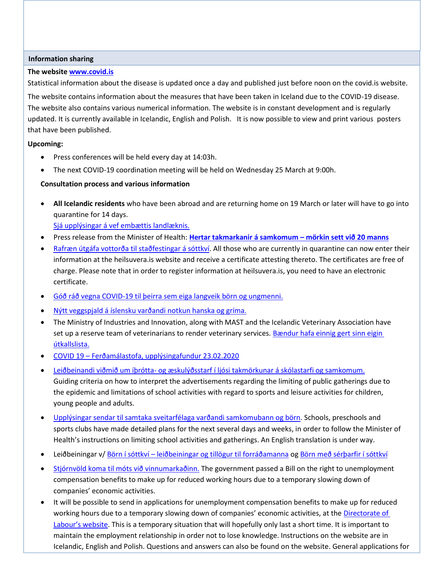### **Information sharing**

### **The websit[e www.covid.is](http://www.covid.is/)**

Statistical information about the disease is updated once a day and published just before noon on the covid.is website.

The website contains information about the measures that have been taken in Iceland due to the COVID-19 disease. The website also contains various numerical information. The website is in constant development and is regularly updated. It is currently available in Icelandic, English and Polish. It is now possible to view and print various posters that have been published.

### **Upcoming:**

- **•** Press conferences will be held every day at 14:03h.
- The next COVID-19 coordination meeting will be held on Wednesday 25 March at 9:00h.

## **Consultation process and various information**

- **All Icelandic residents** who have been abroad and are returning home on 19 March or later will have to go into quarantine for 14 days. [Sjá upplýsingar á vef embættis landlæknis.](https://www.landlaeknir.is/um-embaettid/greinar/grein/item39194/Skilgreind-ahaettusvaedi---Defined-high-risk-areas)
- Press release from the Minister of Health: **[Hertar takmarkanir á samkomum](https://www.stjornarradid.is/efst-a-baugi/frettir/stok-frett/2020/03/22/Hertar-takmarkanir-a-samkomum-morkin-sett-vid-20-manns/) – mörkin sett við 20 manns**
- [Rafræn útgáfa vottorða til staðfestingar á sóttkví.](https://www.stjornarradid.is/efst-a-baugi/frettir/stok-frett/2020/03/23/Rafraen-utgafa-vottorda-til-stadfestingar-a-sottkvi/) All those who are currently in quarantine can now enter their information at the heilsuvera.is website and receive a certificate attesting thereto. The certificates are free of charge. Please note that in order to register information at heilsuvera.is, you need to have an electronic certificate.
- [Góð ráð vegna COVID-19 til þeirra sem eiga langveik börn og ungmenni.](https://www.landlaeknir.is/servlet/file/store93/item40409/Til%20foreldra%20langveikra%20barna%20og%20ungmenna.pdf)
- [Nýtt veggspjald á íslensku varðandi notkun hanska og gríma.](https://www.landlaeknir.is/servlet/file/store93/item40393/Notkun%20einnota%20hanska%20og%20gríma_Covid.pdf)
- The Ministry of Industries and Innovation, along with MAST and the Icelandic Veterinary Association have set up a reserve team of veterinarians to render veterinary services[. Bændur hafa einnig gert sinn eigin](http://www.bondi.is/frettir-og-tilkynningar/afleysingathjonusta-fyrir-baendur-vegna-covid-19/2778)  [útkallslista.](http://www.bondi.is/frettir-og-tilkynningar/afleysingathjonusta-fyrir-baendur-vegna-covid-19/2778)
- COVID 19 [Ferðamálastofa, upplýsingafundur 23.02.2020](https://www.ferdamalastofa.is/is/um-ferdamalastofu/frettir/category/1/covid-19-upplysingafundur-fyrir-ferdathjonustuadila)
- Leiðbeinandi viðmið um íþrótta- [og æskulýðsstarf í ljósi takmörkunar á skólastarfi og samkomum.](https://www.stjornarradid.is/efst-a-baugi/frettir/stok-frett/2020/03/20/Leidbeinandi-vidmid-um-ithrotta-og-aeskulydsstarf-i-ljosi-takmorkunar-a-skolastarfi-og-samkomum/) Guiding criteria on how to interpret the advertisements regarding the limiting of public gatherings due to the epidemic and limitations of school activities with regard to sports and leisure activities for children, young people and adults.
- [Upplýsingar sendar til samtaka sveitarfélaga varðandi samkomubann og börn.](https://www.landlaeknir.is/servlet/file/store93/item39959/Samkomubann%20og%20börn%20-%2020.03.2020.pdf) Schools, preschools and sports clubs have made detailed plans for the next several days and weeks, in order to follow the Minister of Health's instructions on limiting school activities and gatherings. An English translation is under way.
- Leiðbeiningar v/ Börn í sóttkví [leiðbeiningar og tillögur til forráðamanna](https://www.landlaeknir.is/servlet/file/store93/item39957/Börn%20í%20sóttkví.pdf) o[g Börn með sérþarfir í sóttkví](https://www.landlaeknir.is/servlet/file/store93/item39958/Börn%20með%20sértækar%20umönnunarþarfir%20í%20sóttkví.pdf)
- [Stjórnvöld koma til móts við vinnumarkaðinn.](https://www.stjornarradid.is/efst-a-baugi/frettir/stok-frett/2020/03/20/Rettur-til-greidslu-atvinnuleysisbota-vegna-minnkads-starfshlutfalls/) The government passed a Bill on the right to unemployment compensation benefits to make up for reduced working hours due to a temporary slowing down of companies' economic activities.
- It will be possible to send in applications for unemployment compensation benefits to make up for reduced working hours due to a temporary slowing down of companies' economic activities, at the [Directorate of](https://vinnumalastofnun.is/)  La[bour's website](https://vinnumalastofnun.is/). This is a temporary situation that will hopefully only last a short time. It is important to maintain the employment relationship in order not to lose knowledge. Instructions on the website are in Icelandic, English and Polish. Questions and answers can also be found on the website. General applications for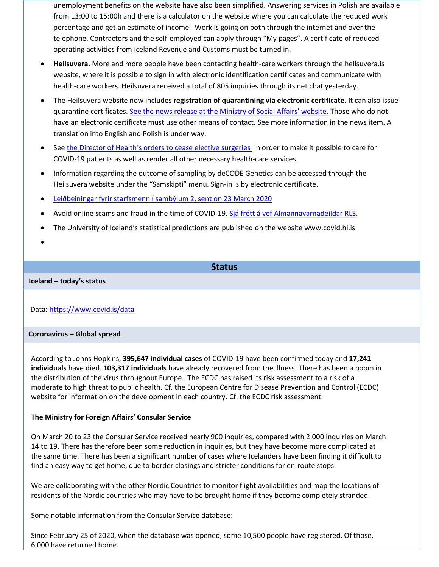unemployment benefits on the website have also been simplified. Answering services in Polish are available from 13:00 to 15:00h and there is a calculator on the website where you can calculate the reduced work percentage and get an estimate of income. Work is going on both through the internet and over the telephone. Contractors and the self-employed can apply through "My pages". A certificate of reduced operating activities from Iceland Revenue and Customs must be turned in.

- **Heilsuvera.** More and more people have been contacting health-care workers through the heilsuvera.is website, where it is possible to sign in with electronic identification certificates and communicate with health-care workers. Heilsuvera received a total of 805 inquiries through its net chat yesterday.
- The Heilsuvera website now includes **registration of quarantining via electronic certificate**. It can also issue quarantine certificates. [See the news release at the Ministry of Social Affairs' website.](https://www.stjornarradid.is/efst-a-baugi/frettir/stok-frett/2020/03/23/Rafraen-utgafa-vottorda-til-stadfestingar-a-sottkvi/) Those who do not have an electronic certificate must use other means of contact. See more information in the news item. A translation into English and Polish is under way.
- See [the Director of Health's orders to cease elective surgeries](https://www.landlaeknir.is/um-embaettid/frettir/frett/item40390/Frestun-valkvaedra-skurdadgerda-vegna-Covid-19) in order to make it possible to care for COVID-19 patients as well as render all other necessary health-care services.
- Information regarding the outcome of sampling by deCODE Genetics can be accessed through the Heilsuvera website under the "Samskipti" menu. Sign-in is by electronic certificate.
- [Leiðbeiningar fyrir starfsmenn í sambýlum 2, sent on 23 March 2020](https://www.landlaeknir.is/servlet/file/store93/item40391/Leiðbeiningar%20fyrir%20starfsmenn%20í%20sambýlum%202,%2023.%20mars%202020.pdf)
- Avoid online scams and fraud in the time of COVID-19. [Sjá frétt á vef Almannavarnadeildar RLS.](https://www.almannavarnir.is/frettir/varist-vefsvindl-og-svik-a-timum-covid-19/)
- The University of Iceland's statistical predictions are published on the website www.covid.hi.is
- $\bullet$

## **Status**

### **Iceland – today's status**

## Data:<https://www.covid.is/data>

### **Coronavirus – Global spread**

According to [Johns Hopkins,](https://gisanddata.maps.arcgis.com/apps/opsdashboard/index.html#/bda7594740fd40299423467b48e9ecf6) **395,647 individual cases** of COVID-19 have been confirmed today and **17,241 individuals** have died. **103,317 individuals** have already recovered from the illness. There has been a boom in the distribution of the virus throughout Europe. The ECDC has raised its risk assessment to a risk of a moderate to high threat to public health. Cf. the European Centre for Disease Prevention and Control (ECDC) website for information on the development in each country[. Cf. the ECDC risk assessment.](https://www.ecdc.europa.eu/en/current-risk-assessment-novel-coronavirus-situation)

## **The Ministry for Foreign Affairs' Consular Service**

On March 20 to 23 the Consular Service received nearly 900 inquiries, compared with 2,000 inquiries on March 14 to 19. There has therefore been some reduction in inquiries, but they have become more complicated at the same time. There has been a significant number of cases where Icelanders have been finding it difficult to find an easy way to get home, due to border closings and stricter conditions for en-route stops.

We are collaborating with the other Nordic Countries to monitor flight availabilities and map the locations of residents of the Nordic countries who may have to be brought home if they become completely stranded.

Some notable information from the Consular Service database:

Since February 25 of 2020, when the database was opened, some 10,500 people have registered. Of those, 6,000 have returned home.